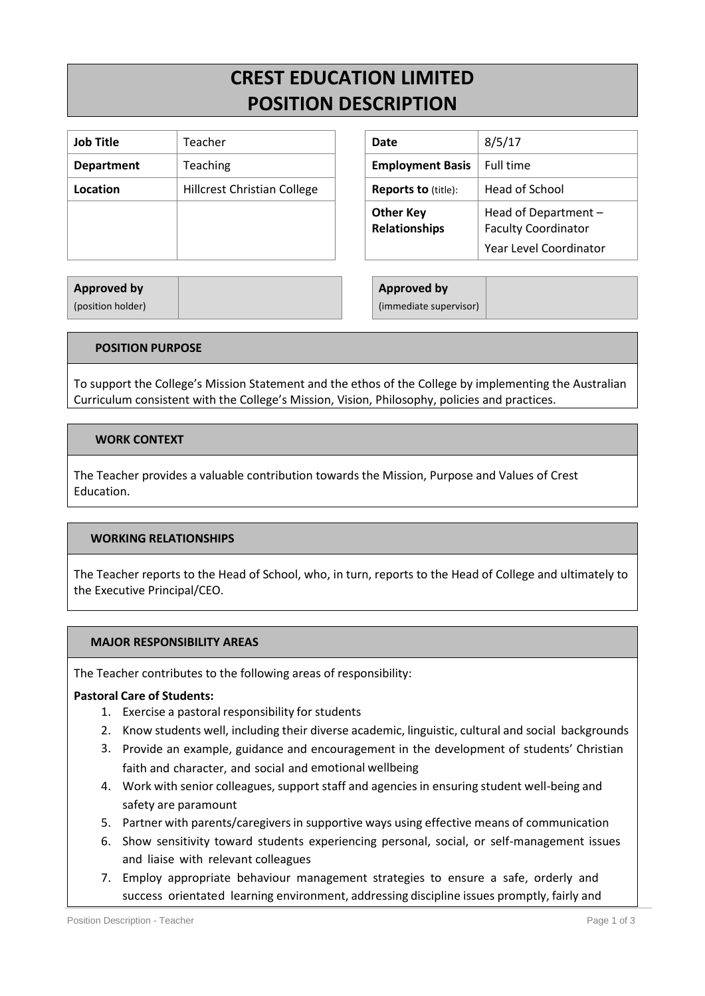# **CREST EDUCATION LIMITED POSITION DESCRIPTION**

| <b>Job Title</b>  | Teacher                            | Date                                     | 8/5/17                                                            |
|-------------------|------------------------------------|------------------------------------------|-------------------------------------------------------------------|
| <b>Department</b> | Teaching                           | <b>Employment Basis</b>                  | Full time                                                         |
| Location          | <b>Hillcrest Christian College</b> | <b>Reports to (title):</b>               | Head of School                                                    |
|                   |                                    | <b>Other Key</b><br><b>Relationships</b> | <b>Head of Depart</b><br><b>Faculty Coordin</b><br>Year Level Coo |

| Date                                     | 8/5/17                                             |  |  |
|------------------------------------------|----------------------------------------------------|--|--|
| <b>Employment Basis</b>                  | <b>Full time</b>                                   |  |  |
| <b>Reports to (title):</b>               | <b>Head of School</b>                              |  |  |
| <b>Other Key</b><br><b>Relationships</b> | Head of Department -<br><b>Faculty Coordinator</b> |  |  |
|                                          | Year Level Coordinator                             |  |  |

#### **Approved by** (position holder)

**Approved by** (immediate supervisor)

## **POSITION PURPOSE**

To support the College's Mission Statement and the ethos of the College by implementing the Australian Curriculum consistent with the College's Mission, Vision, Philosophy, policies and practices.

## **WORK CONTEXT**

The Teacher provides a valuable contribution towards the Mission, Purpose and Values of Crest Education.

#### **WORKING RELATIONSHIPS**

The Teacher reports to the Head of School, who, in turn, reports to the Head of College and ultimately to the Executive Principal/CEO.

#### **MAJOR RESPONSIBILITY AREAS**

The Teacher contributes to the following areas of responsibility:

#### **Pastoral Care of Students:**

- 1. Exercise a pastoral responsibility for students
- 2. Know students well, including their diverse academic, linguistic, cultural and social backgrounds
- 3. Provide an example, guidance and encouragement in the development of students' Christian faith and character, and social and emotional wellbeing
- 4. Work with senior colleagues, support staff and agencies in ensuring student well-being and safety are paramount
- 5. Partner with parents/caregiversin supportive ways using effective means of communication
- 6. Show sensitivity toward students experiencing personal, social, or self-management issues and liaise with relevant colleagues
- 7. Employ appropriate behaviour management strategies to ensure a safe, orderly and success orientated learning environment, addressing discipline issues promptly, fairly and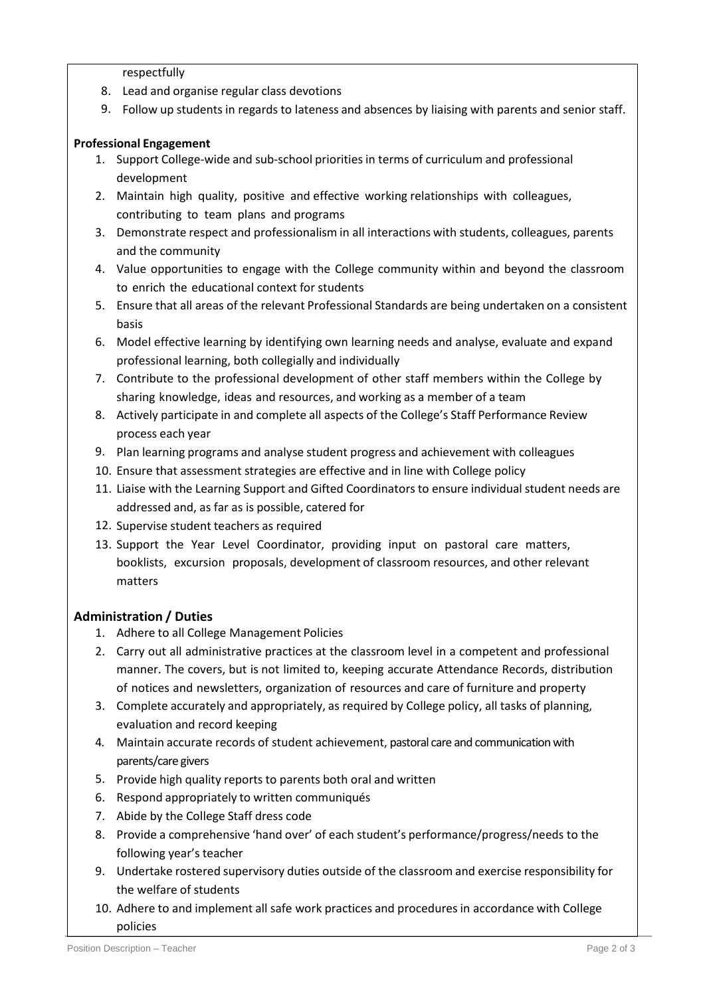respectfully

- 8. Lead and organise regular class devotions
- 9. Follow up students in regards to lateness and absences by liaising with parents and senior staff.

# **Professional Engagement**

- 1. Support College-wide and sub-school priorities in terms of curriculum and professional development
- 2. Maintain high quality, positive and effective working relationships with colleagues, contributing to team plans and programs
- 3. Demonstrate respect and professionalism in all interactions with students, colleagues, parents and the community
- 4. Value opportunities to engage with the College community within and beyond the classroom to enrich the educational context for students
- 5. Ensure that all areas of the relevant Professional Standards are being undertaken on a consistent basis
- 6. Model effective learning by identifying own learning needs and analyse, evaluate and expand professional learning, both collegially and individually
- 7. Contribute to the professional development of other staff members within the College by sharing knowledge, ideas and resources, and working as a member of a team
- 8. Actively participate in and complete all aspects of the College's Staff Performance Review process each year
- 9. Plan learning programs and analyse student progress and achievement with colleagues
- 10. Ensure that assessment strategies are effective and in line with College policy
- 11. Liaise with the Learning Support and Gifted Coordinatorsto ensure individual student needs are addressed and, as far as is possible, catered for
- 12. Supervise student teachers as required
- 13. Support the Year Level Coordinator, providing input on pastoral care matters, booklists, excursion proposals, development of classroom resources, and other relevant matters

# **Administration / Duties**

- 1. Adhere to all College Management Policies
- 2. Carry out all administrative practices at the classroom level in a competent and professional manner. The covers, but is not limited to, keeping accurate Attendance Records, distribution of notices and newsletters, organization of resources and care of furniture and property
- 3. Complete accurately and appropriately, as required by College policy, all tasks of planning, evaluation and record keeping
- 4. Maintain accurate records of student achievement, pastoral care and communication with parents/care givers
- 5. Provide high quality reports to parents both oral and written
- 6. Respond appropriately to written communiqués
- 7. Abide by the College Staff dress code
- 8. Provide a comprehensive 'hand over' of each student's performance/progress/needs to the following year's teacher
- 9. Undertake rostered supervisory duties outside of the classroom and exercise responsibility for the welfare of students
- 10. Adhere to and implement all safe work practices and procedures in accordance with College policies